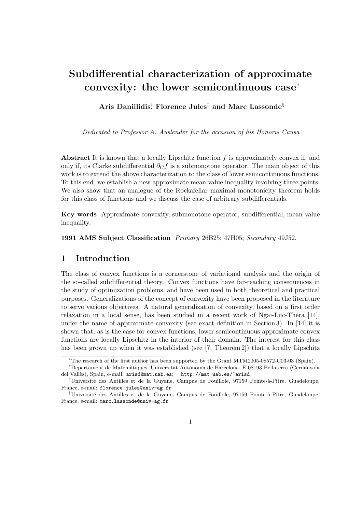# Subdifferential characterization of approximate convexity: the lower semicontinuous case<sup>∗</sup>

Aris Daniilidis<sup>†</sup>, Florence Jules<sup>‡</sup> and Marc Lassonde<sup>§</sup>

Dedicated to Professor A. Auslender for the occasion of his Honoris Causa

Abstract It is known that a locally Lipschitz function  $f$  is approximately convex if, and only if, its Clarke subdifferential  $\partial_{\mathcal{C}} f$  is a submonotone operator. The main object of this work is to extend the above characterization to the class of lower semicontinuous functions. To this end, we establish a new approximate mean value inequality involving three points. We also show that an analogue of the Rockafellar maximal monotonicity theorem holds for this class of functions and we discuss the case of arbitrary subdifferentials.

Key words Approximate convexity, submonotone operator, subdifferential, mean value inequality.

1991 AMS Subject Classification Primary 26B25; 47H05; Secondary 49J52.

### 1 Introduction

The class of convex functions is a cornerstone of variational analysis and the origin of the so-called subdifferential theory. Convex functions have far-reaching consequences in the study of optimization problems, and have been used in both theoretical and practical purposes. Generalizations of the concept of convexity have been proposed in the literature to serve various objectives. A natural generalization of convexity, based on a first order relaxation in a local sense, has been studied in a recent work of Ngai-Luc-Théra  $[14]$ , under the name of approximate convexity (see exact definition in Section 3). In [14] it is shown that, as is the case for convex functions, lower semicontinuous approximate convex functions are locally Lipschitz in the interior of their domain. The interest for this class has been grown up when it was established (see [7, Theorem 2]) that a locally Lipschitz

<sup>∗</sup>The research of the first author has been supported by the Grant MTM2005-08572-C03-03 (Spain).

<sup>&</sup>lt;sup>†</sup>Departament de Matemàtiques, Universitat Autònoma de Barcelona, E-08193 Bellaterra (Cerdanyola del Vallès), Spain, e-mail: arisd@mat.uab.es; http://mat.uab.es/~arisd

 $\ddagger$ Université des Antilles et de la Guyane, Campus de Fouillole, 97159 Pointe-à-Pitre, Guadeloupe, France, e-mail: florence.jules@univ-ag.fr

 $\S$ Université des Antilles et de la Guyane, Campus de Fouillole, 97159 Pointe-à-Pitre, Guadeloupe, France, e-mail: marc.lassonde@univ-ag.fr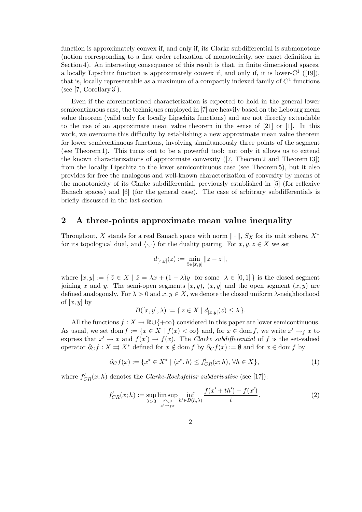function is approximately convex if, and only if, its Clarke subdifferential is submonotone (notion corresponding to a first order relaxation of monotonicity, see exact definition in Section 4). An interesting consequence of this result is that, in finite dimensional spaces, a locally Lipschitz function is approximately convex if, and only if, it is lower- $C^1$  ([19]), that is, locally representable as a maximum of a compactly indexed family of  $C<sup>1</sup>$  functions (see [7, Corollary 3]).

Even if the aforementioned characterization is expected to hold in the general lower semicontinuous case, the techniques employed in [7] are heavily based on the Lebourg mean value theorem (valid only for locally Lipschitz functions) and are not directly extendable to the use of an approximate mean value theorem in the sense of [21] or [1]. In this work, we overcome this difficulty by establishing a new approximate mean value theorem for lower semicontinuous functions, involving simultaneously three points of the segment (see Theorem 1). This turns out to be a powerful tool: not only it allows us to extend the known characterizations of approximate convexity ([7, Theorem 2 and Theorem 13]) from the locally Lipschitz to the lower semicontinuous case (see Theorem 5), but it also provides for free the analogous and well-known characterization of convexity by means of the monotonicity of its Clarke subdifferential, previously established in [5] (for reflexive Banach spaces) and [6] (for the general case). The case of arbitrary subdifferentials is briefly discussed in the last section.

#### 2 A three-points approximate mean value inequality

Throughout, X stands for a real Banach space with norm  $\|\cdot\|$ ,  $S_X$  for its unit sphere,  $X^*$ for its topological dual, and  $\langle \cdot, \cdot \rangle$  for the duality pairing. For  $x, y, z \in X$  we set

$$
d_{[x,y]}(z) := \min_{\bar{z} \in [x,y]} \|\bar{z} - z\|,
$$

where  $[x, y] := \{ \bar{z} \in X \mid \bar{z} = \lambda x + (1 - \lambda)y \text{ for some } \lambda \in [0, 1] \}$  is the closed segment joining x and y. The semi-open segments  $[x, y)$ ,  $(x, y]$  and the open segment  $(x, y)$  are defined analogously. For  $\lambda > 0$  and  $x, y \in X$ , we denote the closed uniform  $\lambda$ -neighborhood of  $[x, y]$  by

$$
B([x, y], \lambda) := \{ z \in X \mid d_{[x, y]}(z) \le \lambda \}.
$$

All the functions  $f : X \to \mathbb{R} \cup \{+\infty\}$  considered in this paper are lower semicontinuous. As usual, we set dom  $f := \{x \in X \mid f(x) < \infty\}$  and, for  $x \in \text{dom } f$ , we write  $x' \to_f x$  to express that  $x' \to x$  and  $f(x') \to f(x)$ . The *Clarke subdifferential* of f is the set-valued operator  $\partial_C f : X \rightrightarrows X^*$  defined for  $x \notin \text{dom } f$  by  $\partial_C f(x) := \emptyset$  and for  $x \in \text{dom } f$  by

$$
\partial_C f(x) := \{ x^* \in X^* \mid \langle x^*, h \rangle \le f'_{CR}(x; h), \forall h \in X \},\tag{1}
$$

where  $f'_{CR}(x;h)$  denotes the *Clarke-Rockafellar subderivative* (see [17]):

$$
f'_{CR}(x; h) := \sup_{\lambda > 0} \limsup_{\substack{t \searrow 0 \\ x' \to f^x}} \inf_{h' \in B(h, \lambda)} \frac{f(x' + th') - f(x')}{t}.
$$
 (2)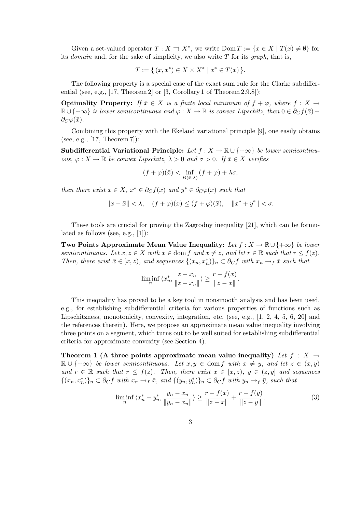Given a set-valued operator  $T : X \rightrightarrows X^*$ , we write  $\text{Dom } T := \{x \in X \mid T(x) \neq \emptyset\}$  for its *domain* and, for the sake of simplicity, we also write  $T$  for its *graph*, that is,

$$
T := \{ (x, x^*) \in X \times X^* \mid x^* \in T(x) \}.
$$

The following property is a special case of the exact sum rule for the Clarke subdifferential (see, e.g., [17, Theorem 2] or [3, Corollary 1 of Theorem 2.9.8]):

**Optimality Property:** If  $\bar{x} \in X$  is a finite local minimum of  $f + \varphi$ , where  $f : X \to Y$  $\mathbb{R}\cup\{+\infty\}$  is lower semicontinuous and  $\varphi: X \to \mathbb{R}$  is convex Lipschitz, then  $0 \in \partial_C f(\bar{x})$  +  $\partial_C\varphi(\bar x)$ .

Combining this property with the Ekeland variational principle [9], one easily obtains (see, e.g., [17, Theorem 7]):

Subdifferential Variational Principle: Let  $f : X \to \mathbb{R} \cup \{+\infty\}$  be lower semicontinuous,  $\varphi: X \to \mathbb{R}$  be convex Lipschitz,  $\lambda > 0$  and  $\sigma > 0$ . If  $\bar{x} \in X$  verifies

$$
(f+\varphi)(\bar{x}) < \inf_{B(\bar{x},\lambda)} (f+\varphi) + \lambda \sigma,
$$

then there exist  $x \in X$ ,  $x^* \in \partial_C f(x)$  and  $y^* \in \partial_C \varphi(x)$  such that

$$
||x - \bar{x}|| < \lambda, \quad (f + \varphi)(x) \le (f + \varphi)(\bar{x}), \quad ||x^* + y^*|| < \sigma.
$$

These tools are crucial for proving the Zagrodny inequality [21], which can be formulated as follows (see, e.g., [1]):

Two Points Approximate Mean Value Inequality: Let  $f: X \to \mathbb{R} \cup \{+\infty\}$  be lower semicontinuous. Let  $x, z \in X$  with  $x \in \text{dom } f$  and  $x \neq z$ , and let  $r \in \mathbb{R}$  such that  $r \leq f(z)$ . Then, there exist  $\bar{x} \in [x, z)$ , and sequences  $\{(x_n, x_n^*)\}_n \subset \partial_C f$  with  $x_n \to f \bar{x}$  such that

$$
\liminf_{n} \langle x_n^*, \frac{z - x_n}{\|z - x_n\|} \rangle \ge \frac{r - f(x)}{\|z - x\|}.
$$

This inequality has proved to be a key tool in nonsmooth analysis and has been used, e.g., for establishing subdifferential criteria for various properties of functions such as Lipschitzness, monotonicity, convexity, integration, etc. (see, e.g., [1, 2, 4, 5, 6, 20] and the references therein). Here, we propose an approximate mean value inequality involving three points on a segment, which turns out to be well suited for establishing subdifferential criteria for approximate convexity (see Section 4).

Theorem 1 (A three points approximate mean value inequality) Let  $f : X \rightarrow$  $\mathbb{R} \cup \{+\infty\}$  be lower semicontinuous. Let  $x, y \in \text{dom } f$  with  $x \neq y$ , and let  $z \in (x, y)$ and  $r \in \mathbb{R}$  such that  $r \leq f(z)$ . Then, there exist  $\bar{x} \in [x, z)$ ,  $\bar{y} \in (z, y]$  and sequences  $\{(x_n, x_n^*)\}_n \subset \partial_C f$  with  $x_n \to_f \bar{x}$ , and  $\{(y_n, y_n^*)\}_n \subset \partial_C f$  with  $y_n \to_f \bar{y}$ , such that

$$
\liminf_{n} \langle x_n^* - y_n^*, \frac{y_n - x_n}{\|y_n - x_n\|} \rangle \ge \frac{r - f(x)}{\|z - x\|} + \frac{r - f(y)}{\|z - y\|}.
$$
\n(3)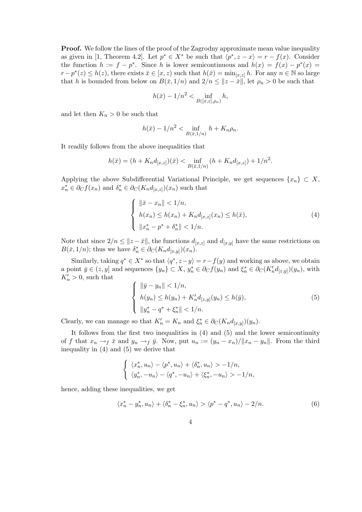**Proof.** We follow the lines of the proof of the Zagrodny approximate mean value inequality as given in [1, Theorem 4.2]. Let  $p^* \in X^*$  be such that  $\langle p^*, z - x \rangle = r - f(x)$ . Consider the function  $h := f - p^*$ . Since h is lower semicontinuous and  $h(x) = f(x) - p^*(x) =$  $r - p^*(z) \leq h(z)$ , there exists  $\bar{x} \in [x, z)$  such that  $h(\bar{x}) = \min_{[x, z]} h$ . For any  $n \in \mathbb{N}$  so large that h is bounded from below on  $B(\bar{x}, 1/n)$  and  $2/n \leq ||z - \bar{x}||$ , let  $\rho_n > 0$  be such that

$$
h(\bar{x}) - 1/n^2 < \inf_{B([x,z],\rho_n)} h,
$$

and let then  $K_n > 0$  be such that

$$
h(\bar{x}) - 1/n^2 < \inf_{B(\bar{x}, 1/n)} h + K_n \rho_n.
$$

It readily follows from the above inequalities that

$$
h(\bar{x}) = (h + K_n d_{[x,z]})(\bar{x}) < \inf_{B(\bar{x},1/n)} (h + K_n d_{[x,z]}) + 1/n^2.
$$

Applying the above Subdifferential Variational Principle, we get sequences  $\{x_n\} \subset X$ ,  $x_n^* \in \partial_C f(x_n)$  and  $\delta_n^* \in \partial_C (K_n d_{[x,z]}) (x_n)$  such that

$$
\begin{cases} \|\bar{x} - x_n\| < 1/n, \\ h(x_n) \le h(x_n) + K_n d_{[x,z]}(x_n) \le h(\bar{x}), \\ \|x_n^* - p^* + \delta_n^*\| < 1/n. \end{cases} \tag{4}
$$

Note that since  $2/n \leq ||z - \bar{x}||$ , the functions  $d_{[x,z]}$  and  $d_{[x,y]}$  have the same restrictions on  $B(\bar{x}, 1/n)$ ; thus we have  $\delta_n^* \in \partial_C (K_n d_{[x,y]})(x_n)$ .

Similarly, taking  $q^* \in X^*$  so that  $\langle q^*, z-y \rangle = r - f(y)$  and working as above, we obtain a point  $\bar{y} \in (z, y]$  and sequences  $\{y_n\} \subset X$ ,  $y_n^* \in \partial_C f(y_n)$  and  $\xi_n^* \in \partial_C (K'_n d_{[z,y]})(y_n)$ , with  $K'_n > 0$ , such that  $\overline{a}$ 

$$
\begin{cases} \|\bar{y} - y_n\| < 1/n, \\ h(y_n) \le h(y_n) + K'_n d_{[z,y]}(y_n) \le h(\bar{y}), \\ \|y_n^* - q^* + \xi_n^*\| < 1/n. \end{cases} \tag{5}
$$

Clearly, we can manage so that  $K'_n = K_n$  and  $\xi_n^* \in \partial_C(K_n d_{[x,y]}) (y_n)$ .

It follows from the first two inequalities in (4) and (5) and the lower semicontinuity of f that  $x_n \to f \bar{x}$  and  $y_n \to f \bar{y}$ . Now, put  $u_n := (y_n - x_n)/||x_n - y_n||$ . From the third inequality in (4) and (5) we derive that

$$
\begin{cases} \langle x_n^*, u_n \rangle - \langle p^*, u_n \rangle + \langle \delta_n^*, u_n \rangle > -1/n, \\ \langle y_n^*, -u_n \rangle - \langle q^*, -u_n \rangle + \langle \xi_n^*, -u_n \rangle > -1/n, \end{cases}
$$

hence, adding these inequalities, we get

$$
\langle x_n^* - y_n^*, u_n \rangle + \langle \delta_n^* - \xi_n^*, u_n \rangle > \langle p^* - q^*, u_n \rangle - 2/n. \tag{6}
$$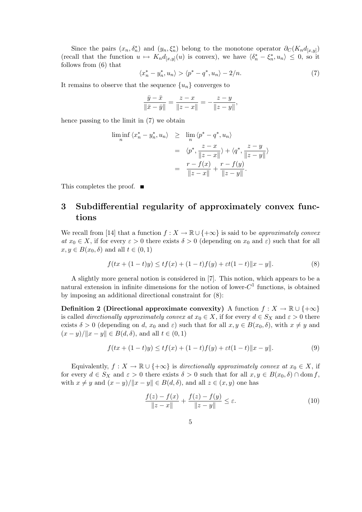Since the pairs  $(x_n, \delta_n^*)$  and  $(y_n, \xi_n^*)$  belong to the monotone operator  $\partial_C(K_n d_{[x,y]})$ (recall that the function  $u \mapsto K_n d_{[x,y]}(u)$  is convex), we have  $\langle \delta_n^* - \xi_n^*, u_n \rangle \leq 0$ , so it follows from (6) that

$$
\langle x_n^* - y_n^*, u_n \rangle > \langle p^* - q^*, u_n \rangle - 2/n. \tag{7}
$$

It remains to observe that the sequence  $\{u_n\}$  converges to

$$
\frac{\bar{y} - \bar{x}}{\|\bar{x} - \bar{y}\|} = \frac{z - x}{\|z - x\|} = -\frac{z - y}{\|z - y\|},
$$

hence passing to the limit in (7) we obtain

$$
\liminf_{n} \langle x_n^* - y_n^*, u_n \rangle \geq \lim_{n} \langle p^* - q^*, u_n \rangle
$$
  
=  $\langle p^*, \frac{z - x}{\|z - x\|} \rangle + \langle q^*, \frac{z - y}{\|z - y\|} \rangle$   
=  $\frac{r - f(x)}{\|z - x\|} + \frac{r - f(y)}{\|z - y\|}.$ 

This completes the proof. ■

### 3 Subdifferential regularity of approximately convex functions

We recall from [14] that a function  $f : X \to \mathbb{R} \cup \{+\infty\}$  is said to be approximately convex at  $x_0 \in X$ , if for every  $\varepsilon > 0$  there exists  $\delta > 0$  (depending on  $x_0$  and  $\varepsilon$ ) such that for all  $x, y \in B(x_0, \delta)$  and all  $t \in (0, 1)$ 

$$
f(tx + (1-t)y) \le tf(x) + (1-t)f(y) + \varepsilon t(1-t) \|x - y\|.
$$
 (8)

A slightly more general notion is considered in [7]. This notion, which appears to be a natural extension in infinite dimensions for the notion of lower- $C<sup>1</sup>$  functions, is obtained by imposing an additional directional constraint for (8):

**Definition 2 (Directional approximate convexity)** A function  $f : X \to \mathbb{R} \cup \{+\infty\}$ is called *directionally approximately convex at*  $x_0 \in X$ , if for every  $d \in S_X$  and  $\varepsilon > 0$  there exists  $\delta > 0$  (depending on d,  $x_0$  and  $\varepsilon$ ) such that for all  $x, y \in B(x_0, \delta)$ , with  $x \neq y$  and  $(x - y)/\|x - y\| \in B(d, \delta)$ , and all  $t \in (0, 1)$ 

$$
f(tx + (1-t)y) \le tf(x) + (1-t)f(y) + \varepsilon t(1-t) \|x - y\|.
$$
 (9)

Equivalently,  $f: X \to \mathbb{R} \cup \{+\infty\}$  is directionally approximately convex at  $x_0 \in X$ , if for every  $d \in S_X$  and  $\varepsilon > 0$  there exists  $\delta > 0$  such that for all  $x, y \in B(x_0, \delta) \cap \text{dom } f$ , with  $x \neq y$  and  $(x - y)/\|x - y\| \in B(d, \delta)$ , and all  $z \in (x, y)$  one has

$$
\frac{f(z) - f(x)}{\|z - x\|} + \frac{f(z) - f(y)}{\|z - y\|} \le \varepsilon.
$$
\n(10)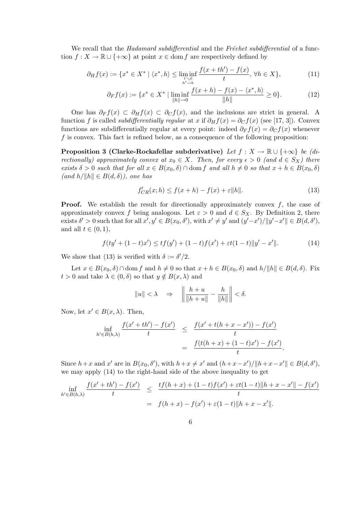We recall that the *Hadamard subdifferential* and the *Fréchet subdifferential* of a function  $f: X \to \mathbb{R} \cup \{+\infty\}$  at point  $x \in \text{dom } f$  are respectively defined by

$$
\partial_H f(x) := \{ x^* \in X^* \mid \langle x^*, h \rangle \le \liminf_{\substack{t \searrow 0 \\ h' \to h}} \frac{f(x + th') - f(x)}{t}, \forall h \in X \},\tag{11}
$$

$$
\partial_F f(x) := \{ x^* \in X^* \mid \liminf_{\|h\| \to 0} \frac{f(x+h) - f(x) - \langle x^*, h \rangle}{\|h\|} \ge 0 \}. \tag{12}
$$

One has  $\partial_F f(x) \subset \partial_H f(x) \subset \partial_C f(x)$ , and the inclusions are strict in general. A function f is called *subdifferentially regular* at x if  $\partial_H f(x) = \partial_C f(x)$  (see [17, 3]). Convex functions are subdifferentially regular at every point: indeed  $\partial_F f(x) = \partial_C f(x)$  whenever f is convex. This fact is refined below, as a consequence of the following proposition:

**Proposition 3 (Clarke-Rockafellar subderivative)** Let  $f : X \to \mathbb{R} \cup \{+\infty\}$  be (directionally) approximately convex at  $x_0 \in X$ . Then, for every  $\epsilon > 0$  (and  $d \in S_X$ ) there exists  $\delta > 0$  such that for all  $x \in B(x_0, \delta) \cap$  dom f and all  $h \neq 0$  so that  $x + h \in B(x_0, \delta)$  $(and h/||h|| \in B(d, \delta)), one has$ 

$$
f'_{CR}(x;h) \le f(x+h) - f(x) + \varepsilon ||h||. \tag{13}
$$

**Proof.** We establish the result for directionally approximately convex  $f$ , the case of approximately convex f being analogous. Let  $\varepsilon > 0$  and  $d \in S_X$ . By Definition 2, there exists  $\delta' > 0$  such that for all  $x', y' \in B(x_0, \delta')$ , with  $x' \neq y'$  and  $(y'-x')/||y'-x'|| \in B(d, \delta')$ , and all  $t \in (0,1)$ ,

$$
f(ty' + (1-t)x') \le tf(y') + (1-t)f(x') + \varepsilon t(1-t) \|y' - x'\|.
$$
 (14)

We show that (13) is verified with  $\delta := \delta'/2$ .

Let  $x \in B(x_0, \delta) \cap \text{dom } f$  and  $h \neq 0$  so that  $x + h \in B(x_0, \delta)$  and  $h/\|h\| \in B(d, \delta)$ . Fix  $t > 0$  and take  $\lambda \in (0, \delta)$  so that  $y \notin B(x, \lambda)$  and

$$
||u|| < \lambda \quad \Rightarrow \quad \left| \left| \frac{h+u}{||h+u||} - \frac{h}{||h||} \right| \right| < \delta.
$$

Now, let  $x' \in B(x, \lambda)$ . Then,

$$
\inf_{h' \in B(h,\lambda)} \frac{f(x'+th') - f(x')}{t} \leq \frac{f(x'+t(h+x-x')) - f(x')}{t}
$$

$$
= \frac{f(t(h+x) + (1-t)x') - f(x')}{t}.
$$

Since  $h+x$  and  $x'$  are in  $B(x_0, \delta')$ , with  $h+x \neq x'$  and  $(h+x-x')/||h+x-x'|| \in B(d, \delta')$ , we may apply (14) to the right-hand side of the above inequality to get

$$
\inf_{h' \in B(h,\lambda)} \frac{f(x'+th') - f(x')}{t} \leq \frac{tf(h+x) + (1-t)f(x') + \varepsilon t(1-t) \|h+x-x'\| - f(x')}{t}
$$
\n
$$
= f(h+x) - f(x') + \varepsilon (1-t) \|h+x-x'\|.
$$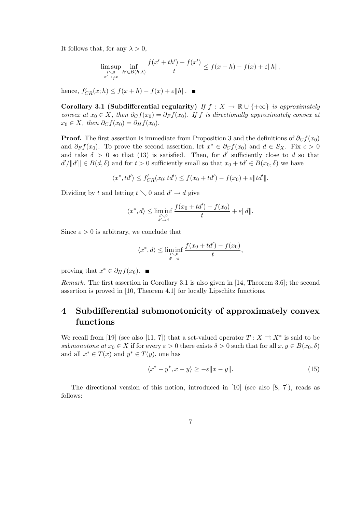It follows that, for any  $\lambda > 0$ ,

$$
\limsup_{\substack{t\searrow 0\\x'\to fx}} \inf_{h'\in B(h,\lambda)} \frac{f(x'+th') - f(x')}{t} \le f(x+h) - f(x) + \varepsilon \|h\|,
$$

hence,  $f'_{CR}(x; h) \le f(x+h) - f(x) + \varepsilon ||h||.$ 

Corollary 3.1 (Subdifferential regularity) If  $f : X \to \mathbb{R} \cup \{+\infty\}$  is approximately convex at  $x_0 \in X$ , then  $\partial_C f(x_0) = \partial_F f(x_0)$ . If f is directionally approximately convex at  $x_0 \in X$ , then  $\partial_C f(x_0) = \partial_H f(x_0)$ .

**Proof.** The first assertion is immediate from Proposition 3 and the definitions of  $\partial_c f(x_0)$ and  $\partial_F f(x_0)$ . To prove the second assertion, let  $x^* \in \partial_C f(x_0)$  and  $d \in S_X$ . Fix  $\epsilon > 0$ and take  $\delta > 0$  so that (13) is satisfied. Then, for d' sufficiently close to d so that  $d'/\|d'\| \in B(d,\delta)$  and for  $t > 0$  sufficiently small so that  $x_0 + td' \in B(x_0,\delta)$  we have

$$
\langle x^*, td' \rangle \le f'_{CR}(x_0; td') \le f(x_0 + td') - f(x_0) + \varepsilon ||td'||.
$$

Dividing by t and letting  $t \searrow 0$  and  $d' \rightarrow d$  give

$$
\langle x^*,d\rangle \leq \liminf_{\substack{t\searrow 0\\d'\to d}}\frac{f(x_0+td')-f(x_0)}{t}+\varepsilon\|d\|.
$$

Since  $\varepsilon > 0$  is arbitrary, we conclude that

$$
\langle x^*, d \rangle \leq \liminf_{\substack{t \searrow 0 \\ d' \to d}} \frac{f(x_0 + td') - f(x_0)}{t},
$$

proving that  $x^* \in \partial_H f(x_0)$ .

Remark. The first assertion in Corollary 3.1 is also given in [14, Theorem 3.6]; the second assertion is proved in [10, Theorem 4.1] for locally Lipschitz functions.

## 4 Subdifferential submonotonicity of approximately convex functions

We recall from [19] (see also [11, 7]) that a set-valued operator  $T : X \rightrightarrows X^*$  is said to be submonotone at  $x_0 \in X$  if for every  $\varepsilon > 0$  there exists  $\delta > 0$  such that for all  $x, y \in B(x_0, \delta)$ and all  $x^* \in T(x)$  and  $y^* \in T(y)$ , one has

$$
\langle x^* - y^*, x - y \rangle \ge -\varepsilon \|x - y\|.\tag{15}
$$

The directional version of this notion, introduced in [10] (see also [8, 7]), reads as follows: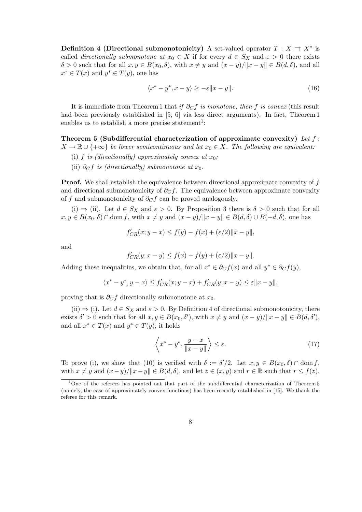**Definition 4 (Directional submonotonicity)** A set-valued operator  $T : X \rightrightarrows X^*$  is called *directionally submonotone at*  $x_0 \in X$  if for every  $d \in S_X$  and  $\varepsilon > 0$  there exists  $\delta > 0$  such that for all  $x, y \in B(x_0, \delta)$ , with  $x \neq y$  and  $(x - y)/\|x - y\| \in B(d, \delta)$ , and all  $x^* \in T(x)$  and  $y^* \in T(y)$ , one has

$$
\langle x^* - y^*, x - y \rangle \ge -\varepsilon \|x - y\|.\tag{16}
$$

It is immediate from Theorem 1 that if  $\partial_{\mathcal{C}} f$  is monotone, then f is convex (this result had been previously established in [5, 6] via less direct arguments). In fact, Theorem 1 enables us to establish a more precise statement<sup>1</sup>:

Theorem 5 (Subdifferential characterization of approximate convexity) Let  $f$ :  $X \to \mathbb{R} \cup \{+\infty\}$  be lower semicontinuous and let  $x_0 \in X$ . The following are equivalent:

- (i) f is (directionally) approximately convex at  $x_0$ ;
- (ii)  $\partial_C f$  is (directionally) submonotone at  $x_0$ .

**Proof.** We shall establish the equivalence between directional approximate convexity of f and directional submonotonicity of  $\partial_{\mathcal{C}} f$ . The equivalence between approximate convexity of f and submonotonicity of  $\partial_{\mathcal{C}} f$  can be proved analogously.

(i)  $\Rightarrow$  (ii). Let  $d \in S_X$  and  $\varepsilon > 0$ . By Proposition 3 there is  $\delta > 0$  such that for all  $x, y \in B(x_0, \delta) \cap \text{dom } f$ , with  $x \neq y$  and  $(x - y)/\|x - y\| \in B(d, \delta) \cup B(-d, \delta)$ , one has

$$
f'_{CR}(x; y - x) \le f(y) - f(x) + (\varepsilon/2) \|x - y\|,
$$

and

$$
f'_{CR}(y; x - y) \le f(x) - f(y) + (\varepsilon/2) \|x - y\|.
$$

Adding these inequalities, we obtain that, for all  $x^* \in \partial_C f(x)$  and all  $y^* \in \partial_C f(y)$ ,

$$
\langle x^*-y^*,y-x\rangle\leq f_{CR}'(x;y-x)+f_{CR}'(y;x-y)\leq \varepsilon\|x-y\|,
$$

proving that is  $\partial_{\mathcal{C}} f$  directionally submonotone at  $x_0$ .

(ii)  $\Rightarrow$  (i). Let  $d \in S_X$  and  $\varepsilon > 0$ . By Definition 4 of directional submonotonicity, there exists  $\delta' > 0$  such that for all  $x, y \in B(x_0, \delta')$ , with  $x \neq y$  and  $(x - y)/||x - y|| \in B(d, \delta')$ , and all  $x^* \in T(x)$  and  $y^* \in T(y)$ , it holds

$$
\left\langle x^* - y^*, \frac{y - x}{\|x - y\|} \right\rangle \le \varepsilon. \tag{17}
$$

To prove (i), we show that (10) is verified with  $\delta := \delta'/2$ . Let  $x, y \in B(x_0, \delta) \cap \text{dom } f$ , with  $x \neq y$  and  $(x-y)/||x-y|| \in B(d, \delta)$ , and let  $z \in (x, y)$  and  $r \in \mathbb{R}$  such that  $r \leq f(z)$ .

<sup>&</sup>lt;sup>1</sup>One of the referees has pointed out that part of the subdifferential characterization of Theorem 5 (namely, the case of approximately convex functions) has been recently established in [15]. We thank the referee for this remark.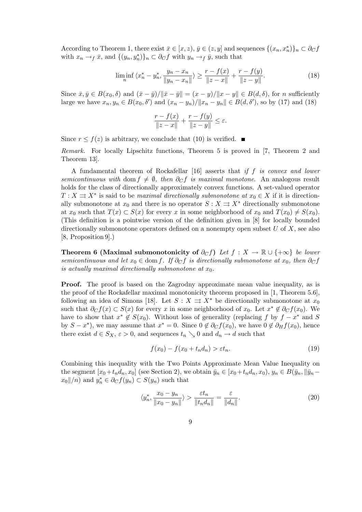According to Theorem 1, there exist  $\bar{x} \in [x, z)$ ,  $\bar{y} \in (z, y]$  and sequences  $\{(x_n, x_n^*)\}_n \subset \partial_C f$ with  $x_n \to_f \bar{x}$ , and  $\{(y_n, y_n^*)\}_n \subset \partial_C f$  with  $y_n \to_f \bar{y}$ , such that

$$
\liminf_{n} \langle x_n^* - y_n^*, \frac{y_n - x_n}{\|y_n - x_n\|} \rangle \ge \frac{r - f(x)}{\|z - x\|} + \frac{r - f(y)}{\|z - y\|}.
$$
\n(18)

Since  $\bar{x}, \bar{y} \in B(x_0, \delta)$  and  $(\bar{x} - \bar{y})/||\bar{x} - \bar{y}|| = (x - y)/||x - y|| \in B(d, \delta)$ , for n sufficiently large we have  $x_n, y_n \in B(x_0, \delta')$  and  $(x_n - y_n)/||x_n - y_n|| \in B(d, \delta')$ , so by (17) and (18)

$$
\frac{r - f(x)}{\|z - x\|} + \frac{r - f(y)}{\|z - y\|} \le \varepsilon.
$$

Since  $r \leq f(z)$  is arbitrary, we conclude that (10) is verified.  $\blacksquare$ 

Remark. For locally Lipschitz functions, Theorem 5 is proved in [7, Theorem 2 and Theorem 13].

A fundamental theorem of Rockafellar [16] asserts that if f is convex and lower semicontinuous with dom  $f \neq \emptyset$ , then  $\partial_{C}f$  is maximal monotone. An analogous result holds for the class of directionally approximately convex functions. A set-valued operator  $T: X \rightrightarrows X^*$  is said to be maximal directionally submonotone at  $x_0 \in X$  if it is directionally submonotone at  $x_0$  and there is no operator  $S : X \rightrightarrows X^*$  directionally submonotone at  $x_0$  such that  $T(x) \subset S(x)$  for every x in some neighborhood of  $x_0$  and  $T(x_0) \neq S(x_0)$ . (This definition is a pointwise version of the definition given in [8] for locally bounded directionally submonotone operators defined on a nonempty open subset  $U$  of  $X$ , see also [8, Proposition 9].)

Theorem 6 (Maximal submonotonicity of  $\partial_C f$ ) Let  $f : X \to \mathbb{R} \cup \{+\infty\}$  be lower semicontinuous and let  $x_0 \in \text{dom } f$ . If  $\partial_C f$  is directionally submonotone at  $x_0$ , then  $\partial_C f$ is actually maximal directionally submonotone at  $x_0$ .

Proof. The proof is based on the Zagrodny approximate mean value inequality, as is the proof of the Rockafellar maximal monotonicity theorem proposed in [1, Theorem 5.6], following an idea of Simons [18]. Let  $S : X \rightrightarrows X^*$  be directionally submonotone at  $x_0$ such that  $\partial_C f(x) \subset S(x)$  for every x in some neighborhood of  $x_0$ . Let  $x^* \notin \partial_C f(x_0)$ . We have to show that  $x^* \notin S(x_0)$ . Without loss of generality (replacing f by  $f - x^*$  and S by  $S - x^*$ , we may assume that  $x^* = 0$ . Since  $0 \notin \partial_C f(x_0)$ , we have  $0 \notin \partial_H f(x_0)$ , hence there exist  $d \in S_X$ ,  $\varepsilon > 0$ , and sequences  $t_n \searrow 0$  and  $d_n \to d$  such that

$$
f(x_0) - f(x_0 + t_n d_n) > \varepsilon t_n. \tag{19}
$$

Combining this inequality with the Two Points Approximate Mean Value Inequality on the segment  $[x_0+t_nd_n, x_0]$  (see Section 2), we obtain  $\bar{y}_n \in [x_0+t_nd_n, x_0), y_n \in B(\bar{y}_n, \|\bar{y}_n-\$  $x_0 \| / n$  and  $y_n^* \in \partial_C f(y_n) \subset S(y_n)$  such that

$$
\langle y_n^*, \frac{x_0 - y_n}{\|x_0 - y_n\|} \rangle > \frac{\varepsilon t_n}{\|t_n d_n\|} = \frac{\varepsilon}{\|d_n\|}.
$$
 (20)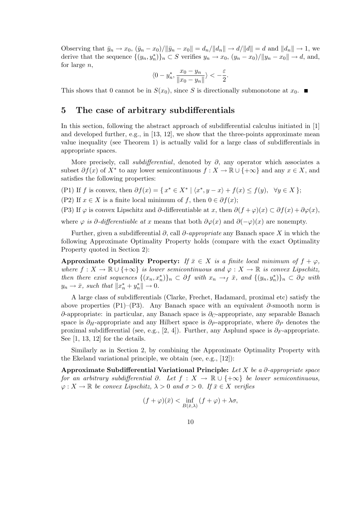Observing that  $\bar{y}_n \to x_0$ ,  $(\bar{y}_n - x_0)/\|\bar{y}_n - x_0\| = d_n/\|d_n\| \to d/\|d\| = d$  and  $\|d_n\| \to 1$ , we derive that the sequence  $\{(y_n, y_n^*)\}_n \subset S$  verifies  $y_n \to x_0$ ,  $(y_n - x_0)/||y_n - x_0|| \to d$ , and, for large  $n$ ,

$$
\langle 0 - y_n^*, \frac{x_0 - y_n}{\|x_0 - y_n\|} \rangle < -\frac{\varepsilon}{2}.
$$

This shows that 0 cannot be in  $S(x_0)$ , since S is directionally submonotone at  $x_0$ .

### 5 The case of arbitrary subdifferentials

In this section, following the abstract approach of subdifferential calculus initiated in [1] and developed further, e.g., in [13, 12], we show that the three-points approximate mean value inequality (see Theorem 1) is actually valid for a large class of subdifferentials in appropriate spaces.

More precisely, call *subdifferential*, denoted by  $\partial$ , any operator which associates a subset  $\partial f(x)$  of  $X^*$  to any lower semicontinuous  $f: X \to \mathbb{R} \cup \{+\infty\}$  and any  $x \in X$ , and satisfies the following properties:

(P1) If f is convex, then  $\partial f(x) = \{x^* \in X^* \mid \langle x^*, y - x \rangle + f(x) \leq f(y), \forall y \in X\};$ 

(P2) If  $x \in X$  is a finite local minimum of f, then  $0 \in \partial f(x)$ ;

(P3) If  $\varphi$  is convex Lipschitz and  $\partial$ -differentiable at x, then  $\partial (f + \varphi)(x) \subset \partial f(x) + \partial \varphi(x)$ ,

where  $\varphi$  is ∂-differentiable at x means that both  $\partial \varphi(x)$  and  $\partial (-\varphi)(x)$  are nonempty.

Further, given a subdifferential  $\partial$ , call  $\partial$ -*appropriate* any Banach space X in which the following Approximate Optimality Property holds (compare with the exact Optimality Property quoted in Section 2):

Approximate Optimality Property: If  $\bar{x} \in X$  is a finite local minimum of  $f + \varphi$ , where  $f: X \to \mathbb{R} \cup \{+\infty\}$  is lower semicontinuous and  $\varphi: X \to \mathbb{R}$  is convex Lipschitz, then there exist sequences  $\{(x_n, x_n^*)\}_n \subset \partial f$  with  $x_n \to_f \bar{x}$ , and  $\{(y_n, y_n^*)\}_n \subset \partial \varphi$  with  $y_n \to \bar{x}$ , such that  $||x_n^* + y_n^*|| \to 0$ .

A large class of subdifferentials (Clarke, Frechet, Hadamard, proximal etc) satisfy the above properties (P1)–(P3). Any Banach space with an equivalent  $\partial$ -smooth norm is  $\partial$ -appropriate: in particular, any Banach space is  $\partial_C$ -appropriate, any separable Banach space is  $\partial_H$ -appropriate and any Hilbert space is  $\partial_P$ -appropriate, where  $\partial_P$  denotes the proximal subdifferential (see, e.g., [2, 4]). Further, any Asplund space is  $\partial_F$ -appropriate. See [1, 13, 12] for the details.

Similarly as in Section 2, by combining the Approximate Optimality Property with the Ekeland variational principle, we obtain (see, e.g., [12]):

Approximate Subdifferential Variational Principle: Let X be a  $\partial$ -appropriate space for an arbitrary subdifferential  $\partial$ . Let  $f : X \to \mathbb{R} \cup \{+\infty\}$  be lower semicontinuous,  $\varphi: X \to \mathbb{R}$  be convex Lipschitz,  $\lambda > 0$  and  $\sigma > 0$ . If  $\bar{x} \in X$  verifies

$$
(f + \varphi)(\bar{x}) < \inf_{B(\bar{x}, \lambda)} (f + \varphi) + \lambda \sigma,
$$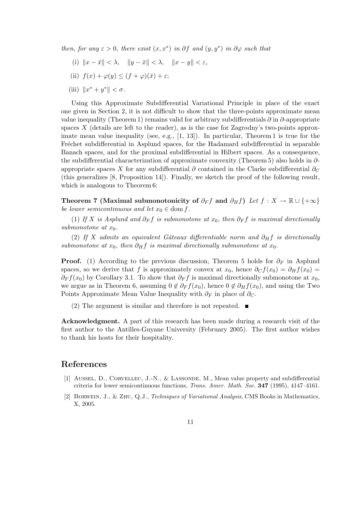then, for any  $\varepsilon > 0$ , there exist  $(x, x^*)$  in  $\partial f$  and  $(y, y^*)$  in  $\partial \varphi$  such that

- (i)  $||x \bar{x}|| < \lambda$ ,  $||y \bar{x}|| < \lambda$ ,  $||x y|| < \varepsilon$ ,
- (ii)  $f(x) + \varphi(y) \leq (f + \varphi)(\bar{x}) + \varepsilon;$
- (iii)  $||x^* + y^*|| < \sigma$ .

Using this Approximate Subdifferential Variational Principle in place of the exact one given in Section 2, it is not difficult to show that the three-points approximate mean value inequality (Theorem 1) remains valid for arbitrary subdifferentials  $\partial$  in  $\partial$ -appropriate spaces  $X$  (details are left to the reader), as is the case for Zagrodny's two-points approximate mean value inequality (see, e.g., [1, 13]). In particular, Theorem 1 is true for the Fréchet subdifferential in Asplund spaces, for the Hadamard subdifferential in separable Banach spaces, and for the proximal subdifferential in Hilbert spaces. As a consequence, the subdifferential characterization of approximate convexity (Theorem 5) also holds in  $\partial$ appropriate spaces X for any subdifferential ∂ contained in the Clarke subdifferential  $\partial_{\mathcal{C}}$ (this generalizes [8, Proposition 14]). Finally, we sketch the proof of the following result, which is analogous to Theorem 6:

Theorem 7 (Maximal submonotonicity of  $\partial_F f$  and  $\partial_H f$ ) Let  $f : X \to \mathbb{R} \cup \{+\infty\}$ be lower semicontinuous and let  $x_0 \in \text{dom } f$ .

(1) If X is Asplund and  $\partial_F f$  is submonotone at  $x_0$ , then  $\partial_F f$  is maximal directionally submonotone at  $x_0$ .

(2) If X admits an equivalent Gâteaux differentiable norm and  $\partial_H f$  is directionally submonotone at  $x_0$ , then  $\partial_H f$  is maximal directionally submonotone at  $x_0$ .

**Proof.** (1) According to the previous discussion, Theorem 5 holds for  $\partial_F$  in Asplund spaces, so we derive that f is approximately convex at  $x_0$ , hence  $\partial_C f(x_0) = \partial_H f(x_0) =$  $\partial_F f(x_0)$  by Corollary 3.1. To show that  $\partial_F f$  is maximal directionally submonotone at  $x_0$ , we argue as in Theorem 6, assuming  $0 \notin \partial_F f(x_0)$ , hence  $0 \notin \partial_H f(x_0)$ , and using the Two Points Approximate Mean Value Inequality with  $\partial_F$  in place of  $\partial_C$ .

(2) The argument is similar and therefore is not repeated.  $\blacksquare$ 

Acknowledgment. A part of this research has been made during a research visit of the first author to the Antilles-Guyane University (February 2005). The first author wishes to thank his hosts for their hospitality.

### References

- [1] Aussel, D., Corvellec, J.-N., & Lassonde, M., Mean value property and subdifferential criteria for lower semicontinuous functions, Trans. Amer. Math. Soc. 347 (1995), 4147–4161.
- [2] Borwein, J., & Zhu, Q.J., Techniques of Variational Analysis, CMS Books in Mathematics, X, 2005.